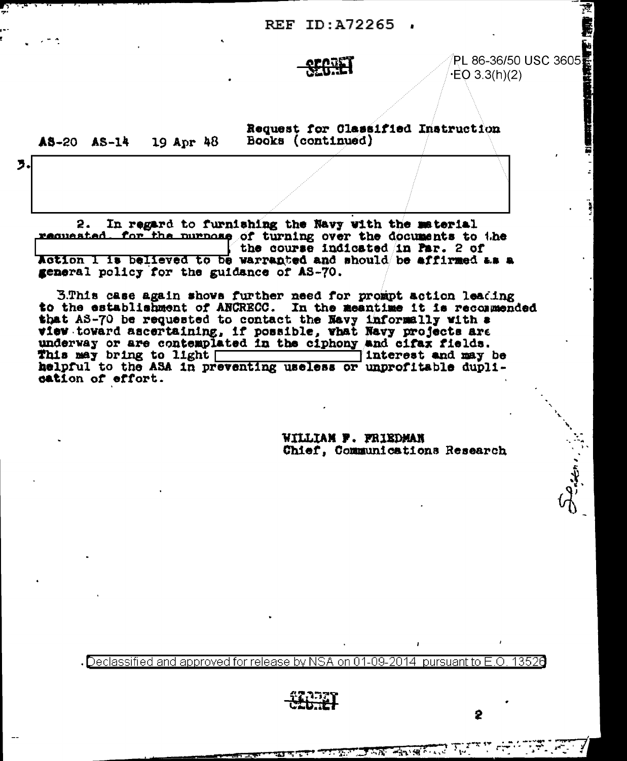REF ID: A72265,

## <u> Selari</u>

PL 86-36/50 USC 3605

19 Apr 48  $A5-20$   $A5-14$ 

3.

Request for Classified Instruction Books (continued)

2. In regard to furnishing the Navy with the material requested. for the nurnose of turning over the documents to the the course indicated in Par. 2 of Action I is believed to be warranted and should be affirmed as a general policy for the guidance of AS-70.

3.This case again shows further need for prompt action leading to the establishment of ANCRECC. In the meantime it is recommended that AS-70 be requested to contact the Navy informally with a view toward ascertaining, if possible, what Navy projects are underway or are contemplated in the ciphony and citax fields. cation of effort.

> WILLIAM F. FRIEDMAN Chief, Communications Research

> > **TAN ANGELIA**

Declassified and approved for release by NSA on 01-09-2014 pursuant to E.O. 13520

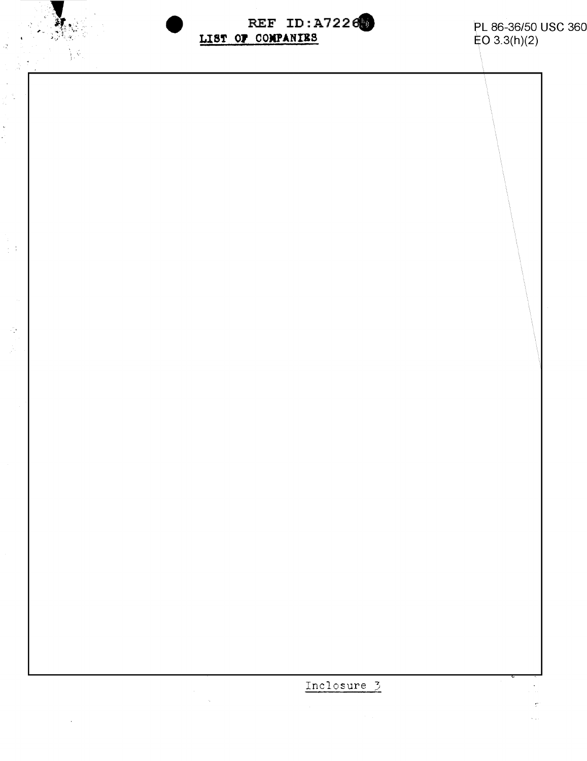